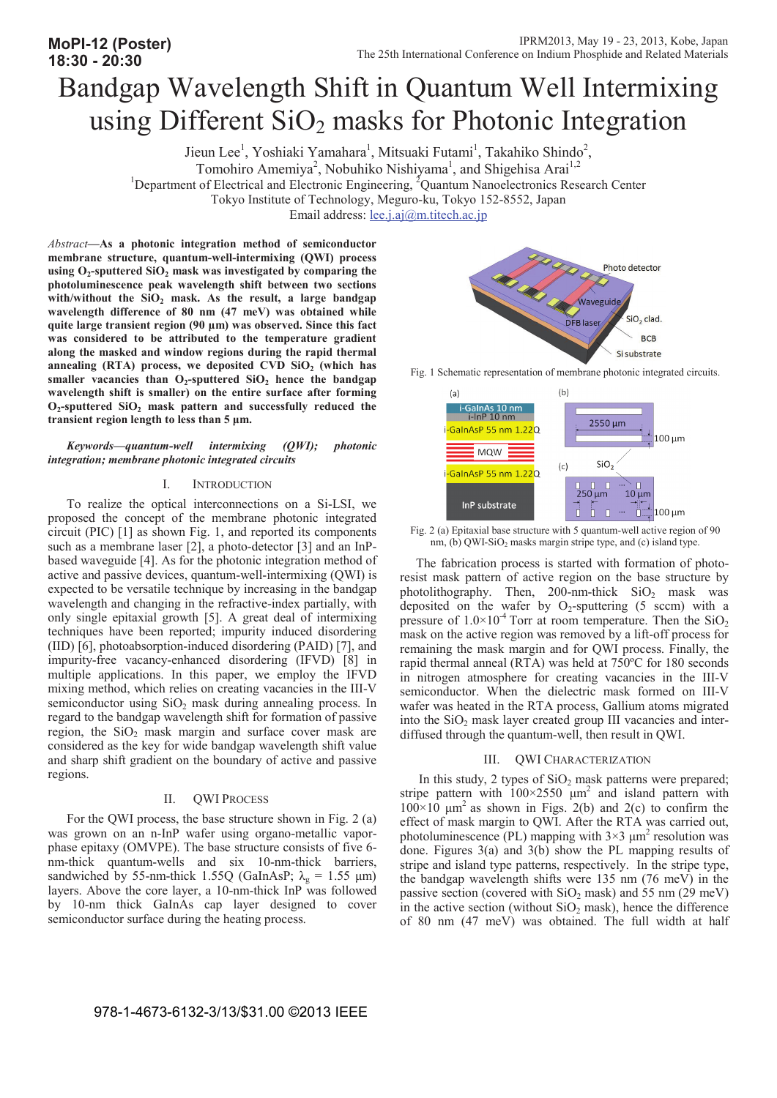# Bandgap Wavelength Shift in Quantum Well Intermixing using Different SiO<sub>2</sub> masks for Photonic Integration

Jieun Lee<sup>1</sup>, Yoshiaki Yamahara<sup>1</sup>, Mitsuaki Futami<sup>1</sup>, Takahiko Shindo<sup>2</sup>,

<sup>1</sup>Department of Electrical and Electronic Engineering, <sup>2</sup>Quantum Nanoelectronics Research Center

Tokyo Institute of Technology, Meguro-ku, Tokyo 152-8552, Japan

Email address: <u>lee.j.aj</u>@m.titech.ac.jp

*Abstract***—As a photonic integration method of semiconductor membrane structure, quantum-well-intermixing (QWI) process**  using O<sub>2</sub>-sputtered SiO<sub>2</sub> mask was investigated by comparing the **photoluminescence peak wavelength shift between two sections**  with/without the SiO<sub>2</sub> mask. As the result, a large bandgap **wavelength difference of 80 nm (47 meV) was obtained while quite large transient region (90 ȝm) was observed. Since this fact was considered to be attributed to the temperature gradient along the masked and window regions during the rapid thermal**  annealing (RTA) process, we deposited CVD SiO<sub>2</sub> (which has smaller vacancies than  $O_2$ -sputtered  $SiO_2$  hence the bandgap **wavelength shift is smaller) on the entire surface after forming**  O<sub>2</sub>-sputtered SiO<sub>2</sub> mask pattern and successfully reduced the **transient region length to less than 5 ȝm.**

*Keywords—quantum-well intermixing (QWI); photonic integration; membrane photonic integrated circuits* 

## I. INTRODUCTION

To realize the optical interconnections on a Si-LSI, we proposed the concept of the membrane photonic integrated circuit (PIC) [1] as shown Fig. 1, and reported its components such as a membrane laser [2], a photo-detector [3] and an InPbased waveguide [4]. As for the photonic integration method of active and passive devices, quantum-well-intermixing (QWI) is expected to be versatile technique by increasing in the bandgap wavelength and changing in the refractive-index partially, with only single epitaxial growth [5]. A great deal of intermixing techniques have been reported; impurity induced disordering (IID) [6], photoabsorption-induced disordering (PAID) [7], and impurity-free vacancy-enhanced disordering (IFVD) [8] in multiple applications. In this paper, we employ the IFVD mixing method, which relies on creating vacancies in the III-V semiconductor using  $SiO<sub>2</sub>$  mask during annealing process. In regard to the bandgap wavelength shift for formation of passive region, the  $SiO<sub>2</sub>$  mask margin and surface cover mask are considered as the key for wide bandgap wavelength shift value and sharp shift gradient on the boundary of active and passive regions.

### II. QWI PROCESS

For the QWI process, the base structure shown in Fig. 2 (a) was grown on an n-InP wafer using organo-metallic vaporphase epitaxy (OMVPE). The base structure consists of five 6 nm-thick quantum-wells and six 10-nm-thick barriers, sandwiched by 55-nm-thick 1.55Q (GaInAsP;  $\lambda_g = 1.55 \text{ }\mu\text{m}$ ) layers. Above the core layer, a 10-nm-thick InP was followed by 10-nm thick GaInAs cap layer designed to cover semiconductor surface during the heating process.







Fig. 2 (a) Epitaxial base structure with 5 quantum-well active region of 90 nm, (b) QWI-SiO<sub>2</sub> masks margin stripe type, and (c) island type.

 The fabrication process is started with formation of photoresist mask pattern of active region on the base structure by photolithography. Then, 200-nm-thick  $SiO<sub>2</sub>$  mask was deposited on the wafer by  $O_2$ -sputtering (5 sccm) with a pressure of  $1.0 \times 10^{-4}$  Torr at room temperature. Then the SiO<sub>2</sub> mask on the active region was removed by a lift-off process for remaining the mask margin and for QWI process. Finally, the rapid thermal anneal (RTA) was held at 750ºC for 180 seconds in nitrogen atmosphere for creating vacancies in the III-V semiconductor. When the dielectric mask formed on III-V wafer was heated in the RTA process, Gallium atoms migrated into the  $SiO<sub>2</sub>$  mask layer created group III vacancies and interdiffused through the quantum-well, then result in QWI.

## III. QWI CHARACTERIZATION

In this study, 2 types of  $SiO<sub>2</sub>$  mask patterns were prepared; stripe pattern with  $100 \times 2550$   $\mu$ m<sup>2</sup> and island pattern with  $100\times10$  µm<sup>2</sup> as shown in Figs. 2(b) and 2(c) to confirm the effect of mask margin to QWI. After the RTA was carried out, photoluminescence (PL) mapping with  $3\times3 \mu m^2$  resolution was done. Figures 3(a) and 3(b) show the PL mapping results of stripe and island type patterns, respectively. In the stripe type, the bandgap wavelength shifts were 135 nm (76 meV) in the passive section (covered with  $SiO<sub>2</sub>$  mask) and 55 nm (29 meV) in the active section (without  $SiO<sub>2</sub>$  mask), hence the difference of 80 nm (47 meV) was obtained. The full width at half

Tomohiro Amemiya<sup>2</sup>, Nobuhiko Nishiyama<sup>1</sup>, and Shigehisa Arai<sup>1,2</sup>